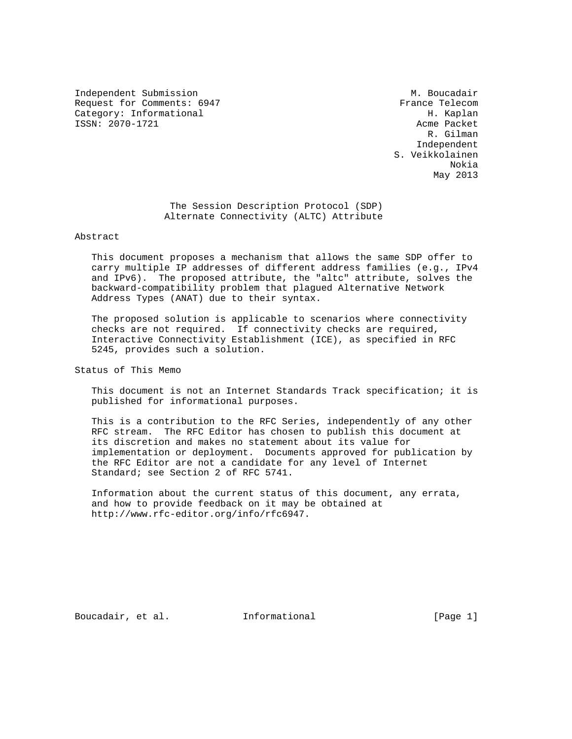Independent Submission M. Boucadair Request for Comments: 6947 France Telecom Category: Informational example of the contraction of the Magnetic Magnetic Magnetic Magnetic Magnetic Magnetic ISSN: 2070-1721 Acme Packet

 R. Gilman Independent S. Veikkolainen Nokia May 2013

> The Session Description Protocol (SDP) Alternate Connectivity (ALTC) Attribute

## Abstract

 This document proposes a mechanism that allows the same SDP offer to carry multiple IP addresses of different address families (e.g., IPv4 and IPv6). The proposed attribute, the "altc" attribute, solves the backward-compatibility problem that plagued Alternative Network Address Types (ANAT) due to their syntax.

 The proposed solution is applicable to scenarios where connectivity checks are not required. If connectivity checks are required, Interactive Connectivity Establishment (ICE), as specified in RFC 5245, provides such a solution.

Status of This Memo

 This document is not an Internet Standards Track specification; it is published for informational purposes.

 This is a contribution to the RFC Series, independently of any other RFC stream. The RFC Editor has chosen to publish this document at its discretion and makes no statement about its value for implementation or deployment. Documents approved for publication by the RFC Editor are not a candidate for any level of Internet Standard; see Section 2 of RFC 5741.

 Information about the current status of this document, any errata, and how to provide feedback on it may be obtained at http://www.rfc-editor.org/info/rfc6947.

Boucadair, et al. Informational [Page 1]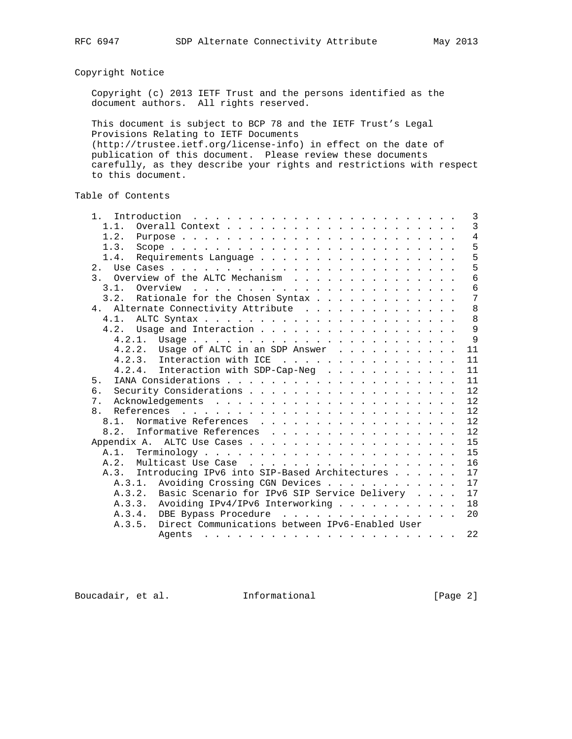# Copyright Notice

 Copyright (c) 2013 IETF Trust and the persons identified as the document authors. All rights reserved.

 This document is subject to BCP 78 and the IETF Trust's Legal Provisions Relating to IETF Documents (http://trustee.ietf.org/license-info) in effect on the date of publication of this document. Please review these documents carefully, as they describe your rights and restrictions with respect to this document.

# Table of Contents

| $\overline{3}$<br>1.1.<br>$\overline{4}$<br>1.2.<br>5<br>1.3.<br>5<br>Requirements Language<br>1.4.<br>5<br>6<br>3. Overview of the ALTC Mechanism<br>$\overline{6}$<br>3.1.<br>7<br>3.2. Rationale for the Chosen Syntax<br>8<br>4. Alternate Connectivity Attribute<br>8<br>4.1.<br>9<br>$\overline{9}$<br>11<br>4.2.2. Usage of ALTC in an SDP Answer<br>4.2.3. Interaction with ICE<br>11<br>4.2.4. Interaction with SDP-Cap-Neg<br>11<br>11<br>5.<br>12<br>б.<br>12<br>$7$ .<br>12<br>8.<br>12<br>Normative References<br>8.1.<br>12<br>Informative References<br>8.2.<br>15<br>Appendix A.<br>15<br>16<br>A.2.<br>Introducing IPv6 into SIP-Based Architectures<br>17<br>A.3.<br>17<br>A.3.1. Avoiding Crossing CGN Devices<br>Basic Scenario for IPv6 SIP Service Delivery<br>17<br>A.3.2.<br>18<br>Avoiding IPv4/IPv6 Interworking<br>A.3.3.<br>DBE Bypass Procedure<br>20<br>A.3.4.<br>Direct Communications between IPv6-Enabled User<br>A.3.5.<br>22 | $1$ . | $\overline{3}$ |
|-----------------------------------------------------------------------------------------------------------------------------------------------------------------------------------------------------------------------------------------------------------------------------------------------------------------------------------------------------------------------------------------------------------------------------------------------------------------------------------------------------------------------------------------------------------------------------------------------------------------------------------------------------------------------------------------------------------------------------------------------------------------------------------------------------------------------------------------------------------------------------------------------------------------------------------------------------------------|-------|----------------|
|                                                                                                                                                                                                                                                                                                                                                                                                                                                                                                                                                                                                                                                                                                                                                                                                                                                                                                                                                                 |       |                |
|                                                                                                                                                                                                                                                                                                                                                                                                                                                                                                                                                                                                                                                                                                                                                                                                                                                                                                                                                                 |       |                |
|                                                                                                                                                                                                                                                                                                                                                                                                                                                                                                                                                                                                                                                                                                                                                                                                                                                                                                                                                                 |       |                |
|                                                                                                                                                                                                                                                                                                                                                                                                                                                                                                                                                                                                                                                                                                                                                                                                                                                                                                                                                                 |       |                |
|                                                                                                                                                                                                                                                                                                                                                                                                                                                                                                                                                                                                                                                                                                                                                                                                                                                                                                                                                                 |       |                |
|                                                                                                                                                                                                                                                                                                                                                                                                                                                                                                                                                                                                                                                                                                                                                                                                                                                                                                                                                                 |       |                |
|                                                                                                                                                                                                                                                                                                                                                                                                                                                                                                                                                                                                                                                                                                                                                                                                                                                                                                                                                                 |       |                |
|                                                                                                                                                                                                                                                                                                                                                                                                                                                                                                                                                                                                                                                                                                                                                                                                                                                                                                                                                                 |       |                |
|                                                                                                                                                                                                                                                                                                                                                                                                                                                                                                                                                                                                                                                                                                                                                                                                                                                                                                                                                                 |       |                |
|                                                                                                                                                                                                                                                                                                                                                                                                                                                                                                                                                                                                                                                                                                                                                                                                                                                                                                                                                                 |       |                |
|                                                                                                                                                                                                                                                                                                                                                                                                                                                                                                                                                                                                                                                                                                                                                                                                                                                                                                                                                                 |       |                |
|                                                                                                                                                                                                                                                                                                                                                                                                                                                                                                                                                                                                                                                                                                                                                                                                                                                                                                                                                                 |       |                |
|                                                                                                                                                                                                                                                                                                                                                                                                                                                                                                                                                                                                                                                                                                                                                                                                                                                                                                                                                                 |       |                |
|                                                                                                                                                                                                                                                                                                                                                                                                                                                                                                                                                                                                                                                                                                                                                                                                                                                                                                                                                                 |       |                |
|                                                                                                                                                                                                                                                                                                                                                                                                                                                                                                                                                                                                                                                                                                                                                                                                                                                                                                                                                                 |       |                |
|                                                                                                                                                                                                                                                                                                                                                                                                                                                                                                                                                                                                                                                                                                                                                                                                                                                                                                                                                                 |       |                |
|                                                                                                                                                                                                                                                                                                                                                                                                                                                                                                                                                                                                                                                                                                                                                                                                                                                                                                                                                                 |       |                |
|                                                                                                                                                                                                                                                                                                                                                                                                                                                                                                                                                                                                                                                                                                                                                                                                                                                                                                                                                                 |       |                |
|                                                                                                                                                                                                                                                                                                                                                                                                                                                                                                                                                                                                                                                                                                                                                                                                                                                                                                                                                                 |       |                |
|                                                                                                                                                                                                                                                                                                                                                                                                                                                                                                                                                                                                                                                                                                                                                                                                                                                                                                                                                                 |       |                |
|                                                                                                                                                                                                                                                                                                                                                                                                                                                                                                                                                                                                                                                                                                                                                                                                                                                                                                                                                                 |       |                |
|                                                                                                                                                                                                                                                                                                                                                                                                                                                                                                                                                                                                                                                                                                                                                                                                                                                                                                                                                                 |       |                |
|                                                                                                                                                                                                                                                                                                                                                                                                                                                                                                                                                                                                                                                                                                                                                                                                                                                                                                                                                                 |       |                |
|                                                                                                                                                                                                                                                                                                                                                                                                                                                                                                                                                                                                                                                                                                                                                                                                                                                                                                                                                                 |       |                |
|                                                                                                                                                                                                                                                                                                                                                                                                                                                                                                                                                                                                                                                                                                                                                                                                                                                                                                                                                                 |       |                |
|                                                                                                                                                                                                                                                                                                                                                                                                                                                                                                                                                                                                                                                                                                                                                                                                                                                                                                                                                                 |       |                |
|                                                                                                                                                                                                                                                                                                                                                                                                                                                                                                                                                                                                                                                                                                                                                                                                                                                                                                                                                                 |       |                |
|                                                                                                                                                                                                                                                                                                                                                                                                                                                                                                                                                                                                                                                                                                                                                                                                                                                                                                                                                                 |       |                |
|                                                                                                                                                                                                                                                                                                                                                                                                                                                                                                                                                                                                                                                                                                                                                                                                                                                                                                                                                                 |       |                |
|                                                                                                                                                                                                                                                                                                                                                                                                                                                                                                                                                                                                                                                                                                                                                                                                                                                                                                                                                                 |       |                |
|                                                                                                                                                                                                                                                                                                                                                                                                                                                                                                                                                                                                                                                                                                                                                                                                                                                                                                                                                                 |       |                |

Boucadair, et al. 1nformational [Page 2]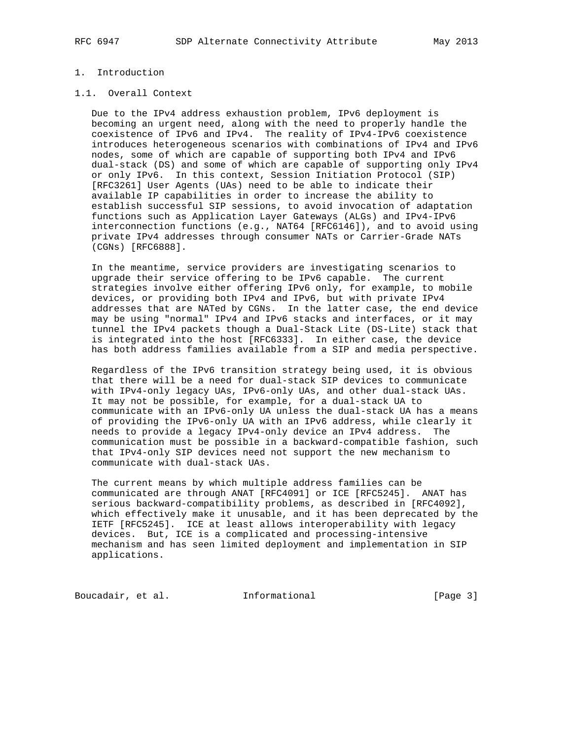# 1. Introduction

## 1.1. Overall Context

 Due to the IPv4 address exhaustion problem, IPv6 deployment is becoming an urgent need, along with the need to properly handle the coexistence of IPv6 and IPv4. The reality of IPv4-IPv6 coexistence introduces heterogeneous scenarios with combinations of IPv4 and IPv6 nodes, some of which are capable of supporting both IPv4 and IPv6 dual-stack (DS) and some of which are capable of supporting only IPv4 or only IPv6. In this context, Session Initiation Protocol (SIP) [RFC3261] User Agents (UAs) need to be able to indicate their available IP capabilities in order to increase the ability to establish successful SIP sessions, to avoid invocation of adaptation functions such as Application Layer Gateways (ALGs) and IPv4-IPv6 interconnection functions (e.g., NAT64 [RFC6146]), and to avoid using private IPv4 addresses through consumer NATs or Carrier-Grade NATs (CGNs) [RFC6888].

 In the meantime, service providers are investigating scenarios to upgrade their service offering to be IPv6 capable. The current strategies involve either offering IPv6 only, for example, to mobile devices, or providing both IPv4 and IPv6, but with private IPv4 addresses that are NATed by CGNs. In the latter case, the end device may be using "normal" IPv4 and IPv6 stacks and interfaces, or it may tunnel the IPv4 packets though a Dual-Stack Lite (DS-Lite) stack that is integrated into the host [RFC6333]. In either case, the device has both address families available from a SIP and media perspective.

 Regardless of the IPv6 transition strategy being used, it is obvious that there will be a need for dual-stack SIP devices to communicate with IPv4-only legacy UAs, IPv6-only UAs, and other dual-stack UAs. It may not be possible, for example, for a dual-stack UA to communicate with an IPv6-only UA unless the dual-stack UA has a means of providing the IPv6-only UA with an IPv6 address, while clearly it needs to provide a legacy IPv4-only device an IPv4 address. The communication must be possible in a backward-compatible fashion, such that IPv4-only SIP devices need not support the new mechanism to communicate with dual-stack UAs.

 The current means by which multiple address families can be communicated are through ANAT [RFC4091] or ICE [RFC5245]. ANAT has serious backward-compatibility problems, as described in [RFC4092], which effectively make it unusable, and it has been deprecated by the IETF [RFC5245]. ICE at least allows interoperability with legacy devices. But, ICE is a complicated and processing-intensive mechanism and has seen limited deployment and implementation in SIP applications.

Boucadair, et al. Informational [Page 3]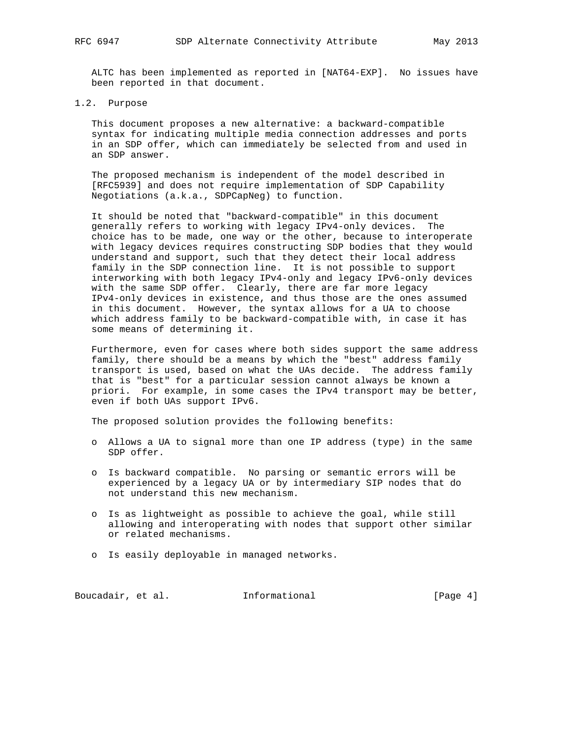ALTC has been implemented as reported in [NAT64-EXP]. No issues have been reported in that document.

## 1.2. Purpose

 This document proposes a new alternative: a backward-compatible syntax for indicating multiple media connection addresses and ports in an SDP offer, which can immediately be selected from and used in an SDP answer.

 The proposed mechanism is independent of the model described in [RFC5939] and does not require implementation of SDP Capability Negotiations (a.k.a., SDPCapNeg) to function.

 It should be noted that "backward-compatible" in this document generally refers to working with legacy IPv4-only devices. The choice has to be made, one way or the other, because to interoperate with legacy devices requires constructing SDP bodies that they would understand and support, such that they detect their local address family in the SDP connection line. It is not possible to support interworking with both legacy IPv4-only and legacy IPv6-only devices with the same SDP offer. Clearly, there are far more legacy IPv4-only devices in existence, and thus those are the ones assumed in this document. However, the syntax allows for a UA to choose which address family to be backward-compatible with, in case it has some means of determining it.

 Furthermore, even for cases where both sides support the same address family, there should be a means by which the "best" address family transport is used, based on what the UAs decide. The address family that is "best" for a particular session cannot always be known a priori. For example, in some cases the IPv4 transport may be better, even if both UAs support IPv6.

The proposed solution provides the following benefits:

- o Allows a UA to signal more than one IP address (type) in the same SDP offer.
- o Is backward compatible. No parsing or semantic errors will be experienced by a legacy UA or by intermediary SIP nodes that do not understand this new mechanism.
- o Is as lightweight as possible to achieve the goal, while still allowing and interoperating with nodes that support other similar or related mechanisms.
- o Is easily deployable in managed networks.

Boucadair, et al. Informational [Page 4]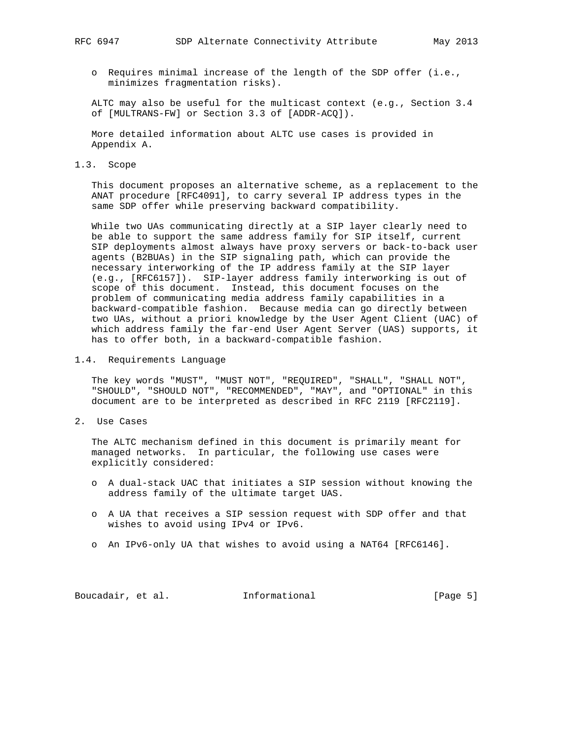o Requires minimal increase of the length of the SDP offer (i.e., minimizes fragmentation risks).

 ALTC may also be useful for the multicast context (e.g., Section 3.4 of [MULTRANS-FW] or Section 3.3 of [ADDR-ACQ]).

 More detailed information about ALTC use cases is provided in Appendix A.

1.3. Scope

 This document proposes an alternative scheme, as a replacement to the ANAT procedure [RFC4091], to carry several IP address types in the same SDP offer while preserving backward compatibility.

 While two UAs communicating directly at a SIP layer clearly need to be able to support the same address family for SIP itself, current SIP deployments almost always have proxy servers or back-to-back user agents (B2BUAs) in the SIP signaling path, which can provide the necessary interworking of the IP address family at the SIP layer (e.g., [RFC6157]). SIP-layer address family interworking is out of scope of this document. Instead, this document focuses on the problem of communicating media address family capabilities in a backward-compatible fashion. Because media can go directly between two UAs, without a priori knowledge by the User Agent Client (UAC) of which address family the far-end User Agent Server (UAS) supports, it has to offer both, in a backward-compatible fashion.

1.4. Requirements Language

 The key words "MUST", "MUST NOT", "REQUIRED", "SHALL", "SHALL NOT", "SHOULD", "SHOULD NOT", "RECOMMENDED", "MAY", and "OPTIONAL" in this document are to be interpreted as described in RFC 2119 [RFC2119].

2. Use Cases

 The ALTC mechanism defined in this document is primarily meant for managed networks. In particular, the following use cases were explicitly considered:

- o A dual-stack UAC that initiates a SIP session without knowing the address family of the ultimate target UAS.
- o A UA that receives a SIP session request with SDP offer and that wishes to avoid using IPv4 or IPv6.
- o An IPv6-only UA that wishes to avoid using a NAT64 [RFC6146].

Boucadair, et al. Informational [Page 5]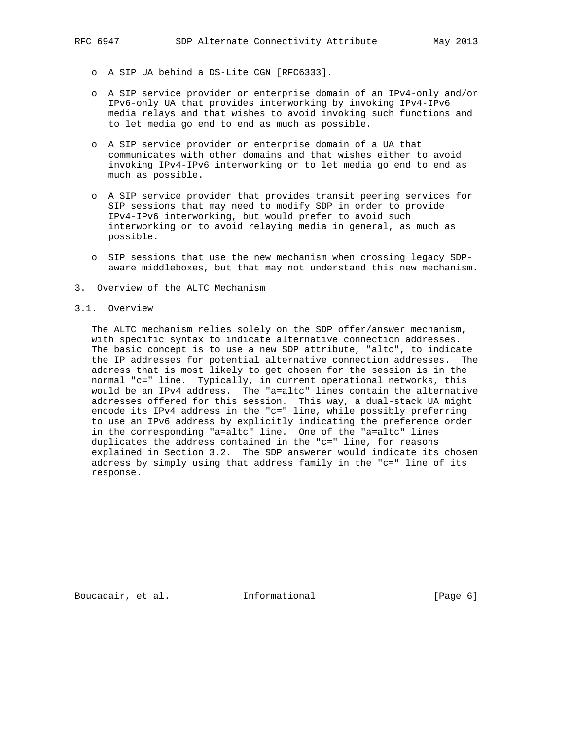- o A SIP UA behind a DS-Lite CGN [RFC6333].
- o A SIP service provider or enterprise domain of an IPv4-only and/or IPv6-only UA that provides interworking by invoking IPv4-IPv6 media relays and that wishes to avoid invoking such functions and to let media go end to end as much as possible.
- o A SIP service provider or enterprise domain of a UA that communicates with other domains and that wishes either to avoid invoking IPv4-IPv6 interworking or to let media go end to end as much as possible.
- o A SIP service provider that provides transit peering services for SIP sessions that may need to modify SDP in order to provide IPv4-IPv6 interworking, but would prefer to avoid such interworking or to avoid relaying media in general, as much as possible.
- o SIP sessions that use the new mechanism when crossing legacy SDP aware middleboxes, but that may not understand this new mechanism.
- 3. Overview of the ALTC Mechanism

#### 3.1. Overview

 The ALTC mechanism relies solely on the SDP offer/answer mechanism, with specific syntax to indicate alternative connection addresses. The basic concept is to use a new SDP attribute, "altc", to indicate the IP addresses for potential alternative connection addresses. The address that is most likely to get chosen for the session is in the normal "c=" line. Typically, in current operational networks, this would be an IPv4 address. The "a=altc" lines contain the alternative addresses offered for this session. This way, a dual-stack UA might encode its IPv4 address in the "c=" line, while possibly preferring to use an IPv6 address by explicitly indicating the preference order in the corresponding "a=altc" line. One of the "a=altc" lines duplicates the address contained in the "c=" line, for reasons explained in Section 3.2. The SDP answerer would indicate its chosen address by simply using that address family in the "c=" line of its response.

Boucadair, et al. 1nformational [Page 6]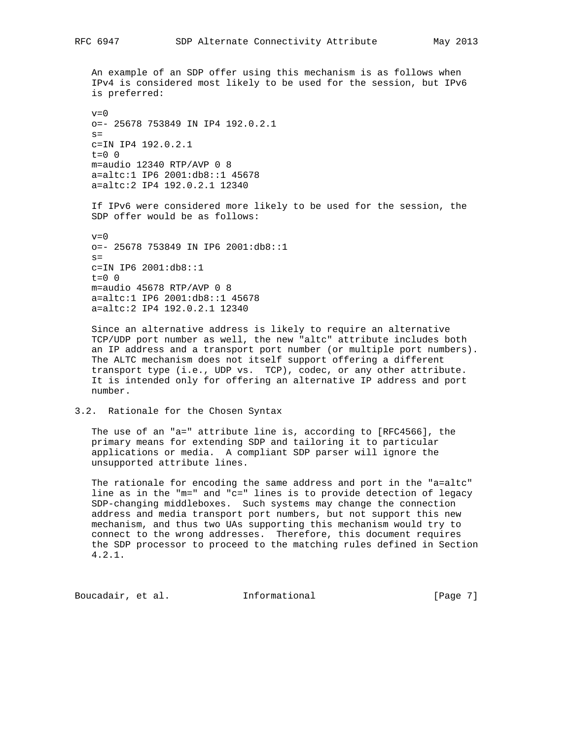An example of an SDP offer using this mechanism is as follows when IPv4 is considered most likely to be used for the session, but IPv6 is preferred:  $v=0$  o=- 25678 753849 IN IP4 192.0.2.1  $s=$  c=IN IP4 192.0.2.1  $t=0$  0 m=audio 12340 RTP/AVP 0 8 a=altc:1 IP6 2001:db8::1 45678 a=altc:2 IP4 192.0.2.1 12340 If IPv6 were considered more likely to be used for the session, the SDP offer would be as follows:  $v=0$  o=- 25678 753849 IN IP6 2001:db8::1  $s=$  c=IN IP6 2001:db8::1  $t=0$  0 m=audio 45678 RTP/AVP 0 8 a=altc:1 IP6 2001:db8::1 45678 a=altc:2 IP4 192.0.2.1 12340

 Since an alternative address is likely to require an alternative TCP/UDP port number as well, the new "altc" attribute includes both an IP address and a transport port number (or multiple port numbers). The ALTC mechanism does not itself support offering a different transport type (i.e., UDP vs. TCP), codec, or any other attribute. It is intended only for offering an alternative IP address and port number.

## 3.2. Rationale for the Chosen Syntax

 The use of an "a=" attribute line is, according to [RFC4566], the primary means for extending SDP and tailoring it to particular applications or media. A compliant SDP parser will ignore the unsupported attribute lines.

 The rationale for encoding the same address and port in the "a=altc" line as in the "m=" and "c=" lines is to provide detection of legacy SDP-changing middleboxes. Such systems may change the connection address and media transport port numbers, but not support this new mechanism, and thus two UAs supporting this mechanism would try to connect to the wrong addresses. Therefore, this document requires the SDP processor to proceed to the matching rules defined in Section 4.2.1.

Boucadair, et al. Informational [Page 7]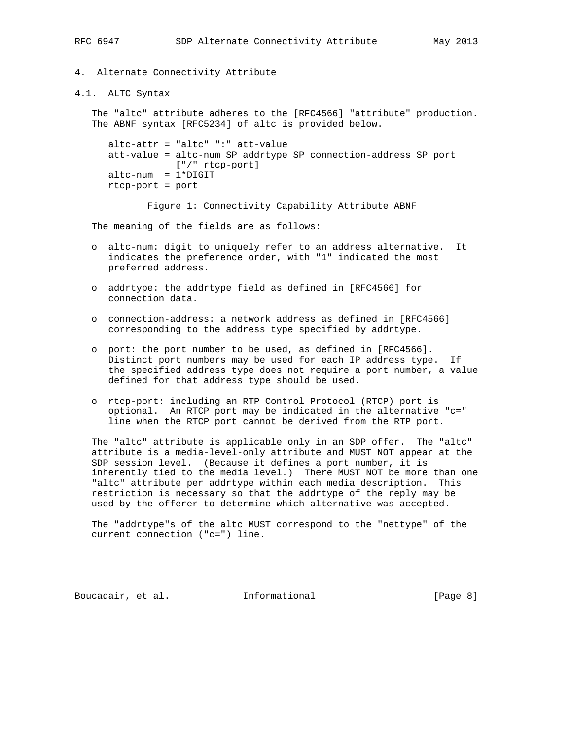- 4. Alternate Connectivity Attribute
- 4.1. ALTC Syntax

 The "altc" attribute adheres to the [RFC4566] "attribute" production. The ABNF syntax [RFC5234] of altc is provided below.

 altc-attr = "altc" ":" att-value att-value = altc-num SP addrtype SP connection-address SP port ["/" rtcp-port] altc-num = 1\*DIGIT rtcp-port = port

Figure 1: Connectivity Capability Attribute ABNF

The meaning of the fields are as follows:

- o altc-num: digit to uniquely refer to an address alternative. It indicates the preference order, with "1" indicated the most preferred address.
- o addrtype: the addrtype field as defined in [RFC4566] for connection data.
- o connection-address: a network address as defined in [RFC4566] corresponding to the address type specified by addrtype.
- o port: the port number to be used, as defined in [RFC4566]. Distinct port numbers may be used for each IP address type. If the specified address type does not require a port number, a value defined for that address type should be used.
- o rtcp-port: including an RTP Control Protocol (RTCP) port is optional. An RTCP port may be indicated in the alternative "c=" line when the RTCP port cannot be derived from the RTP port.

 The "altc" attribute is applicable only in an SDP offer. The "altc" attribute is a media-level-only attribute and MUST NOT appear at the SDP session level. (Because it defines a port number, it is inherently tied to the media level.) There MUST NOT be more than one "altc" attribute per addrtype within each media description. This restriction is necessary so that the addrtype of the reply may be used by the offerer to determine which alternative was accepted.

 The "addrtype"s of the altc MUST correspond to the "nettype" of the current connection ("c=") line.

Boucadair, et al. Informational [Page 8]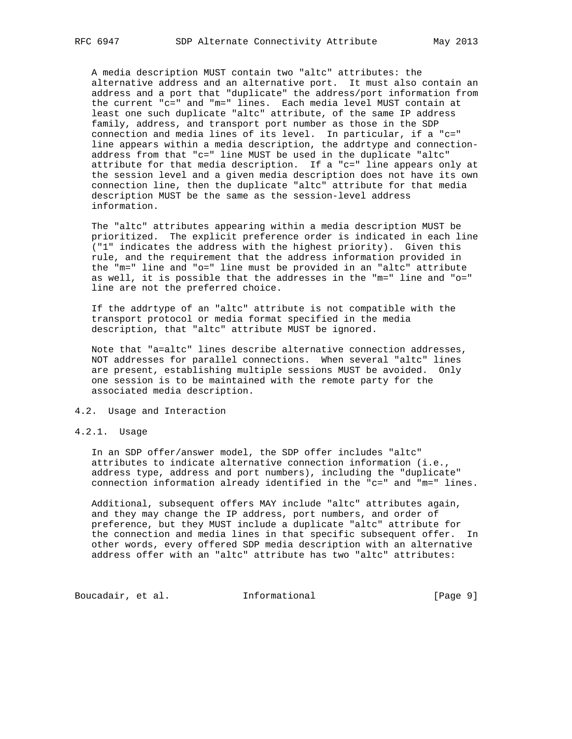A media description MUST contain two "altc" attributes: the alternative address and an alternative port. It must also contain an address and a port that "duplicate" the address/port information from the current "c=" and "m=" lines. Each media level MUST contain at least one such duplicate "altc" attribute, of the same IP address family, address, and transport port number as those in the SDP connection and media lines of its level. In particular, if a "c=" line appears within a media description, the addrtype and connection address from that "c=" line MUST be used in the duplicate "altc" attribute for that media description. If a "c=" line appears only at the session level and a given media description does not have its own connection line, then the duplicate "altc" attribute for that media description MUST be the same as the session-level address information.

 The "altc" attributes appearing within a media description MUST be prioritized. The explicit preference order is indicated in each line ("1" indicates the address with the highest priority). Given this rule, and the requirement that the address information provided in the "m=" line and "o=" line must be provided in an "altc" attribute as well, it is possible that the addresses in the "m=" line and "o=" line are not the preferred choice.

 If the addrtype of an "altc" attribute is not compatible with the transport protocol or media format specified in the media description, that "altc" attribute MUST be ignored.

 Note that "a=altc" lines describe alternative connection addresses, NOT addresses for parallel connections. When several "altc" lines are present, establishing multiple sessions MUST be avoided. Only one session is to be maintained with the remote party for the associated media description.

## 4.2. Usage and Interaction

## 4.2.1. Usage

 In an SDP offer/answer model, the SDP offer includes "altc" attributes to indicate alternative connection information (i.e., address type, address and port numbers), including the "duplicate" connection information already identified in the "c=" and "m=" lines.

 Additional, subsequent offers MAY include "altc" attributes again, and they may change the IP address, port numbers, and order of preference, but they MUST include a duplicate "altc" attribute for the connection and media lines in that specific subsequent offer. In other words, every offered SDP media description with an alternative address offer with an "altc" attribute has two "altc" attributes:

Boucadair, et al. 1nformational 1999 [Page 9]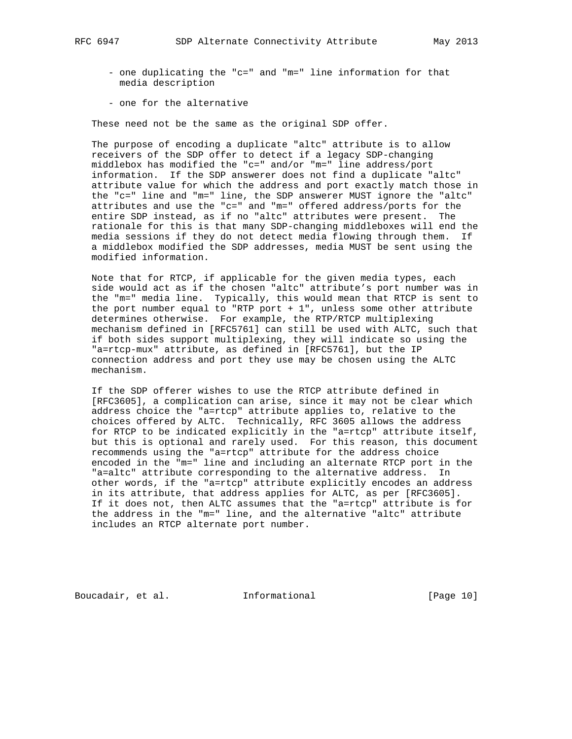- - one duplicating the "c=" and "m=" line information for that media description
	- one for the alternative

These need not be the same as the original SDP offer.

 The purpose of encoding a duplicate "altc" attribute is to allow receivers of the SDP offer to detect if a legacy SDP-changing middlebox has modified the "c=" and/or "m=" line address/port information. If the SDP answerer does not find a duplicate "altc" attribute value for which the address and port exactly match those in the "c=" line and "m=" line, the SDP answerer MUST ignore the "altc" attributes and use the "c=" and "m=" offered address/ports for the entire SDP instead, as if no "altc" attributes were present. The rationale for this is that many SDP-changing middleboxes will end the media sessions if they do not detect media flowing through them. If a middlebox modified the SDP addresses, media MUST be sent using the modified information.

 Note that for RTCP, if applicable for the given media types, each side would act as if the chosen "altc" attribute's port number was in the "m=" media line. Typically, this would mean that RTCP is sent to the port number equal to "RTP port + 1", unless some other attribute determines otherwise. For example, the RTP/RTCP multiplexing mechanism defined in [RFC5761] can still be used with ALTC, such that if both sides support multiplexing, they will indicate so using the "a=rtcp-mux" attribute, as defined in [RFC5761], but the IP connection address and port they use may be chosen using the ALTC mechanism.

 If the SDP offerer wishes to use the RTCP attribute defined in [RFC3605], a complication can arise, since it may not be clear which address choice the "a=rtcp" attribute applies to, relative to the choices offered by ALTC. Technically, RFC 3605 allows the address for RTCP to be indicated explicitly in the "a=rtcp" attribute itself, but this is optional and rarely used. For this reason, this document recommends using the "a=rtcp" attribute for the address choice encoded in the "m=" line and including an alternate RTCP port in the "a=altc" attribute corresponding to the alternative address. In other words, if the "a=rtcp" attribute explicitly encodes an address in its attribute, that address applies for ALTC, as per [RFC3605]. If it does not, then ALTC assumes that the "a=rtcp" attribute is for the address in the "m=" line, and the alternative "altc" attribute includes an RTCP alternate port number.

Boucadair, et al. Informational [Page 10]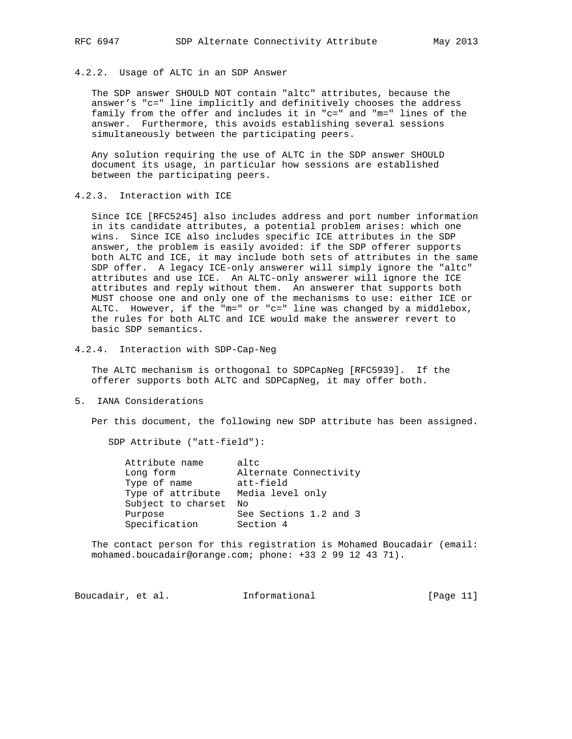# 4.2.2. Usage of ALTC in an SDP Answer

 The SDP answer SHOULD NOT contain "altc" attributes, because the answer's "c=" line implicitly and definitively chooses the address family from the offer and includes it in "c=" and "m=" lines of the answer. Furthermore, this avoids establishing several sessions simultaneously between the participating peers.

 Any solution requiring the use of ALTC in the SDP answer SHOULD document its usage, in particular how sessions are established between the participating peers.

4.2.3. Interaction with ICE

 Since ICE [RFC5245] also includes address and port number information in its candidate attributes, a potential problem arises: which one wins. Since ICE also includes specific ICE attributes in the SDP answer, the problem is easily avoided: if the SDP offerer supports both ALTC and ICE, it may include both sets of attributes in the same SDP offer. A legacy ICE-only answerer will simply ignore the "altc" attributes and use ICE. An ALTC-only answerer will ignore the ICE attributes and reply without them. An answerer that supports both MUST choose one and only one of the mechanisms to use: either ICE or ALTC. However, if the "m=" or "c=" line was changed by a middlebox, the rules for both ALTC and ICE would make the answerer revert to basic SDP semantics.

4.2.4. Interaction with SDP-Cap-Neg

 The ALTC mechanism is orthogonal to SDPCapNeg [RFC5939]. If the offerer supports both ALTC and SDPCapNeg, it may offer both.

5. IANA Considerations

Per this document, the following new SDP attribute has been assigned.

SDP Attribute ("att-field"):

| Attribute name        | altc                   |
|-----------------------|------------------------|
| Long form             | Alternate Connectivity |
| Type of name          | att-field              |
| Type of attribute     | Media level only       |
| Subject to charset No |                        |
| Purpose               | See Sections 1.2 and 3 |
| Specification         | Section 4              |

 The contact person for this registration is Mohamed Boucadair (email: mohamed.boucadair@orange.com; phone: +33 2 99 12 43 71).

Boucadair, et al. 1nformational 1999 [Page 11]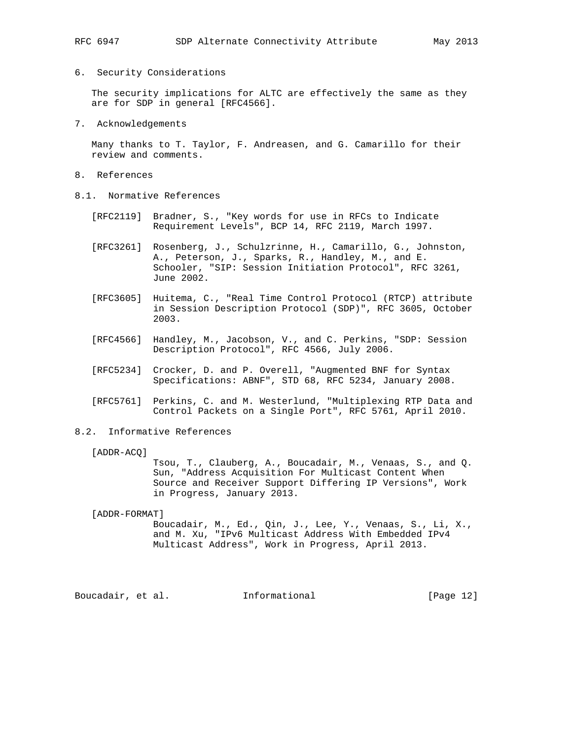### 6. Security Considerations

 The security implications for ALTC are effectively the same as they are for SDP in general [RFC4566].

7. Acknowledgements

 Many thanks to T. Taylor, F. Andreasen, and G. Camarillo for their review and comments.

- 8. References
- 8.1. Normative References
	- [RFC2119] Bradner, S., "Key words for use in RFCs to Indicate Requirement Levels", BCP 14, RFC 2119, March 1997.
	- [RFC3261] Rosenberg, J., Schulzrinne, H., Camarillo, G., Johnston, A., Peterson, J., Sparks, R., Handley, M., and E. Schooler, "SIP: Session Initiation Protocol", RFC 3261, June 2002.
	- [RFC3605] Huitema, C., "Real Time Control Protocol (RTCP) attribute in Session Description Protocol (SDP)", RFC 3605, October 2003.
	- [RFC4566] Handley, M., Jacobson, V., and C. Perkins, "SDP: Session Description Protocol", RFC 4566, July 2006.
	- [RFC5234] Crocker, D. and P. Overell, "Augmented BNF for Syntax Specifications: ABNF", STD 68, RFC 5234, January 2008.
	- [RFC5761] Perkins, C. and M. Westerlund, "Multiplexing RTP Data and Control Packets on a Single Port", RFC 5761, April 2010.
- 8.2. Informative References
	- [ADDR-ACQ]

 Tsou, T., Clauberg, A., Boucadair, M., Venaas, S., and Q. Sun, "Address Acquisition For Multicast Content When Source and Receiver Support Differing IP Versions", Work in Progress, January 2013.

[ADDR-FORMAT]

 Boucadair, M., Ed., Qin, J., Lee, Y., Venaas, S., Li, X., and M. Xu, "IPv6 Multicast Address With Embedded IPv4 Multicast Address", Work in Progress, April 2013.

Boucadair, et al. Informational [Page 12]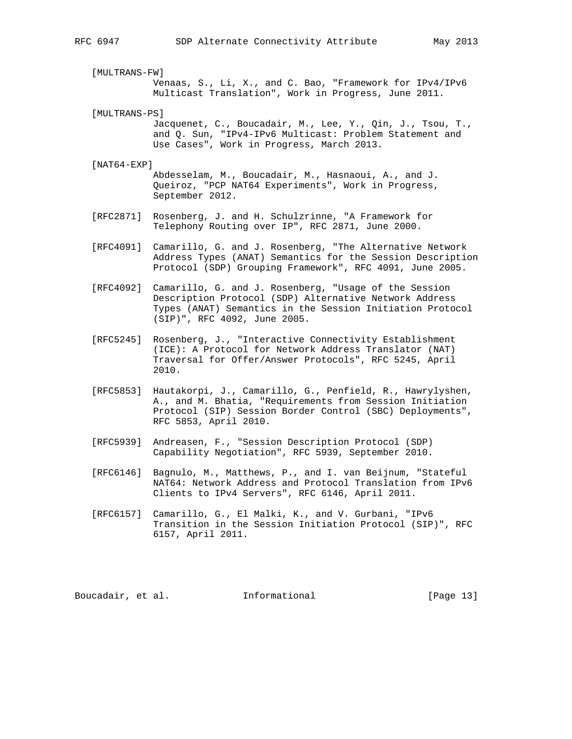[MULTRANS-FW] Venaas, S., Li, X., and C. Bao, "Framework for IPv4/IPv6 Multicast Translation", Work in Progress, June 2011.

[MULTRANS-PS]

 Jacquenet, C., Boucadair, M., Lee, Y., Qin, J., Tsou, T., and Q. Sun, "IPv4-IPv6 Multicast: Problem Statement and Use Cases", Work in Progress, March 2013.

#### [NAT64-EXP]

 Abdesselam, M., Boucadair, M., Hasnaoui, A., and J. Queiroz, "PCP NAT64 Experiments", Work in Progress, September 2012.

- [RFC2871] Rosenberg, J. and H. Schulzrinne, "A Framework for Telephony Routing over IP", RFC 2871, June 2000.
- [RFC4091] Camarillo, G. and J. Rosenberg, "The Alternative Network Address Types (ANAT) Semantics for the Session Description Protocol (SDP) Grouping Framework", RFC 4091, June 2005.
- [RFC4092] Camarillo, G. and J. Rosenberg, "Usage of the Session Description Protocol (SDP) Alternative Network Address Types (ANAT) Semantics in the Session Initiation Protocol (SIP)", RFC 4092, June 2005.
- [RFC5245] Rosenberg, J., "Interactive Connectivity Establishment (ICE): A Protocol for Network Address Translator (NAT) Traversal for Offer/Answer Protocols", RFC 5245, April 2010.
- [RFC5853] Hautakorpi, J., Camarillo, G., Penfield, R., Hawrylyshen, A., and M. Bhatia, "Requirements from Session Initiation Protocol (SIP) Session Border Control (SBC) Deployments", RFC 5853, April 2010.
- [RFC5939] Andreasen, F., "Session Description Protocol (SDP) Capability Negotiation", RFC 5939, September 2010.
- [RFC6146] Bagnulo, M., Matthews, P., and I. van Beijnum, "Stateful NAT64: Network Address and Protocol Translation from IPv6 Clients to IPv4 Servers", RFC 6146, April 2011.
- [RFC6157] Camarillo, G., El Malki, K., and V. Gurbani, "IPv6 Transition in the Session Initiation Protocol (SIP)", RFC 6157, April 2011.

Boucadair, et al. Informational [Page 13]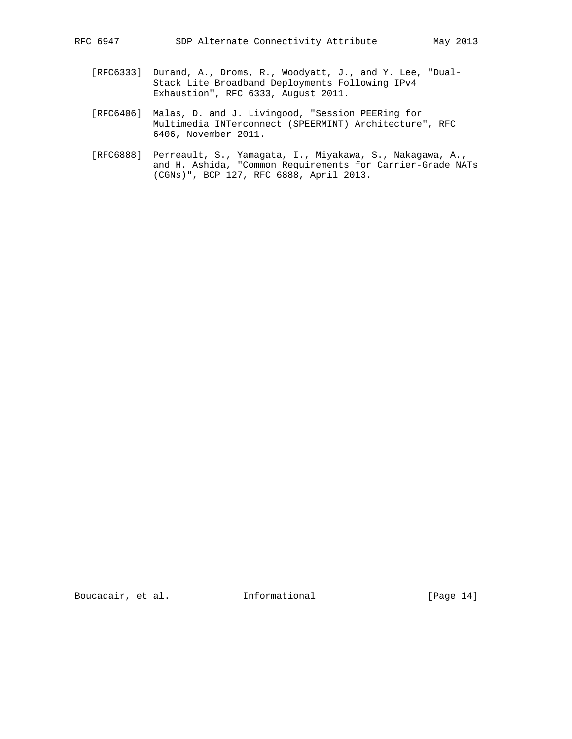- [RFC6333] Durand, A., Droms, R., Woodyatt, J., and Y. Lee, "Dual- Stack Lite Broadband Deployments Following IPv4 Exhaustion", RFC 6333, August 2011.
- [RFC6406] Malas, D. and J. Livingood, "Session PEERing for Multimedia INTerconnect (SPEERMINT) Architecture", RFC 6406, November 2011.
- [RFC6888] Perreault, S., Yamagata, I., Miyakawa, S., Nakagawa, A., and H. Ashida, "Common Requirements for Carrier-Grade NATs (CGNs)", BCP 127, RFC 6888, April 2013.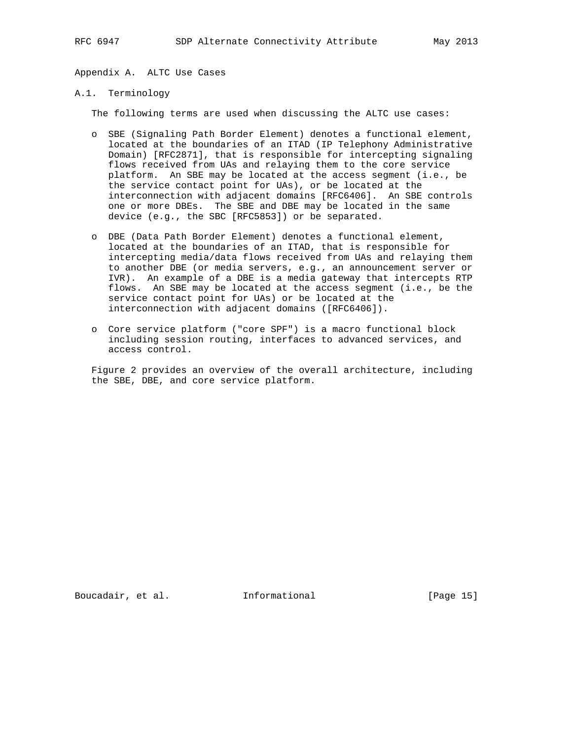Appendix A. ALTC Use Cases

A.1. Terminology

The following terms are used when discussing the ALTC use cases:

- o SBE (Signaling Path Border Element) denotes a functional element, located at the boundaries of an ITAD (IP Telephony Administrative Domain) [RFC2871], that is responsible for intercepting signaling flows received from UAs and relaying them to the core service platform. An SBE may be located at the access segment (i.e., be the service contact point for UAs), or be located at the interconnection with adjacent domains [RFC6406]. An SBE controls one or more DBEs. The SBE and DBE may be located in the same device (e.g., the SBC [RFC5853]) or be separated.
- o DBE (Data Path Border Element) denotes a functional element, located at the boundaries of an ITAD, that is responsible for intercepting media/data flows received from UAs and relaying them to another DBE (or media servers, e.g., an announcement server or IVR). An example of a DBE is a media gateway that intercepts RTP flows. An SBE may be located at the access segment (i.e., be the service contact point for UAs) or be located at the interconnection with adjacent domains ([RFC6406]).
- o Core service platform ("core SPF") is a macro functional block including session routing, interfaces to advanced services, and access control.

 Figure 2 provides an overview of the overall architecture, including the SBE, DBE, and core service platform.

Boucadair, et al. 1nformational [Page 15]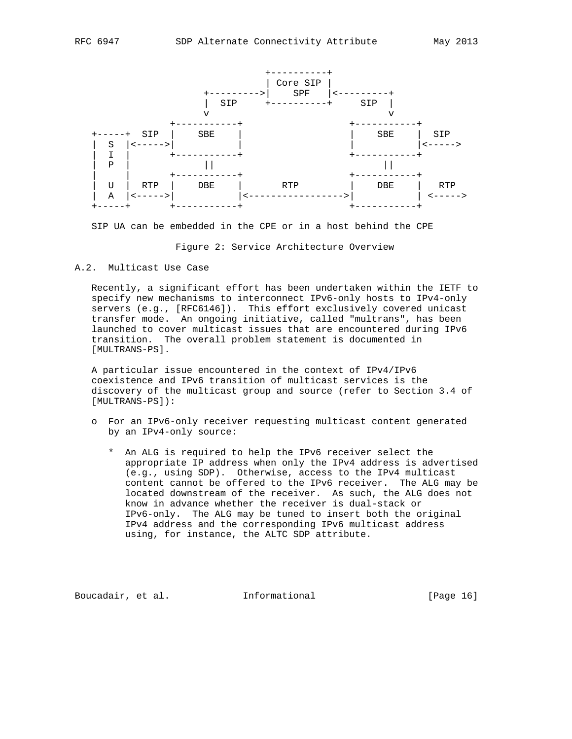

SIP UA can be embedded in the CPE or in a host behind the CPE

Figure 2: Service Architecture Overview

A.2. Multicast Use Case

 Recently, a significant effort has been undertaken within the IETF to specify new mechanisms to interconnect IPv6-only hosts to IPv4-only servers (e.g., [RFC6146]). This effort exclusively covered unicast transfer mode. An ongoing initiative, called "multrans", has been launched to cover multicast issues that are encountered during IPv6 transition. The overall problem statement is documented in [MULTRANS-PS].

 A particular issue encountered in the context of IPv4/IPv6 coexistence and IPv6 transition of multicast services is the discovery of the multicast group and source (refer to Section 3.4 of [MULTRANS-PS]):

- o For an IPv6-only receiver requesting multicast content generated by an IPv4-only source:
	- \* An ALG is required to help the IPv6 receiver select the appropriate IP address when only the IPv4 address is advertised (e.g., using SDP). Otherwise, access to the IPv4 multicast content cannot be offered to the IPv6 receiver. The ALG may be located downstream of the receiver. As such, the ALG does not know in advance whether the receiver is dual-stack or IPv6-only. The ALG may be tuned to insert both the original IPv4 address and the corresponding IPv6 multicast address using, for instance, the ALTC SDP attribute.

Boucadair, et al. 1nformational [Page 16]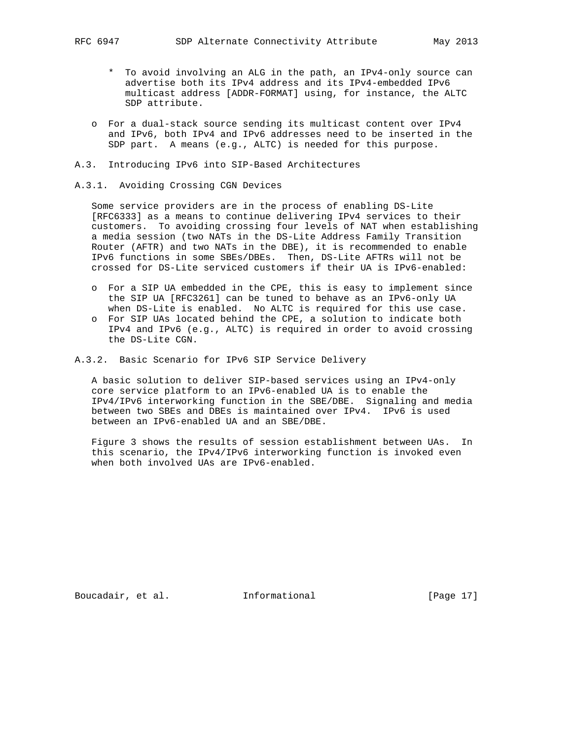- \* To avoid involving an ALG in the path, an IPv4-only source can advertise both its IPv4 address and its IPv4-embedded IPv6 multicast address [ADDR-FORMAT] using, for instance, the ALTC SDP attribute.
- o For a dual-stack source sending its multicast content over IPv4 and IPv6, both IPv4 and IPv6 addresses need to be inserted in the SDP part. A means (e.g., ALTC) is needed for this purpose.
- A.3. Introducing IPv6 into SIP-Based Architectures
- A.3.1. Avoiding Crossing CGN Devices

 Some service providers are in the process of enabling DS-Lite [RFC6333] as a means to continue delivering IPv4 services to their customers. To avoiding crossing four levels of NAT when establishing a media session (two NATs in the DS-Lite Address Family Transition Router (AFTR) and two NATs in the DBE), it is recommended to enable IPv6 functions in some SBEs/DBEs. Then, DS-Lite AFTRs will not be crossed for DS-Lite serviced customers if their UA is IPv6-enabled:

- o For a SIP UA embedded in the CPE, this is easy to implement since the SIP UA [RFC3261] can be tuned to behave as an IPv6-only UA when DS-Lite is enabled. No ALTC is required for this use case.
- o For SIP UAs located behind the CPE, a solution to indicate both IPv4 and IPv6 (e.g., ALTC) is required in order to avoid crossing the DS-Lite CGN.
- A.3.2. Basic Scenario for IPv6 SIP Service Delivery

 A basic solution to deliver SIP-based services using an IPv4-only core service platform to an IPv6-enabled UA is to enable the IPv4/IPv6 interworking function in the SBE/DBE. Signaling and media between two SBEs and DBEs is maintained over IPv4. IPv6 is used between an IPv6-enabled UA and an SBE/DBE.

 Figure 3 shows the results of session establishment between UAs. In this scenario, the IPv4/IPv6 interworking function is invoked even when both involved UAs are IPv6-enabled.

Boucadair, et al. 1nformational [Page 17]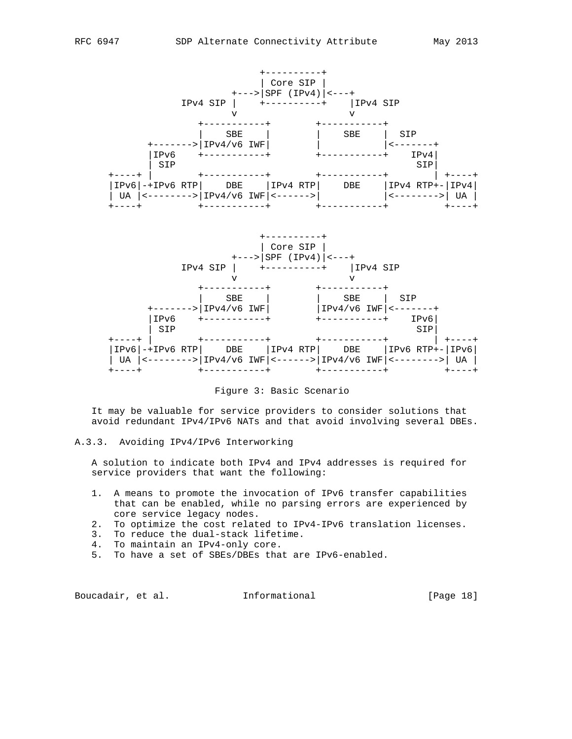

Figure 3: Basic Scenario

 It may be valuable for service providers to consider solutions that avoid redundant IPv4/IPv6 NATs and that avoid involving several DBEs.

A.3.3. Avoiding IPv4/IPv6 Interworking

 A solution to indicate both IPv4 and IPv4 addresses is required for service providers that want the following:

- 1. A means to promote the invocation of IPv6 transfer capabilities that can be enabled, while no parsing errors are experienced by core service legacy nodes.
- 2. To optimize the cost related to IPv4-IPv6 translation licenses.
- 3. To reduce the dual-stack lifetime.
- 4. To maintain an IPv4-only core.
- 5. To have a set of SBEs/DBEs that are IPv6-enabled.

Boucadair, et al. Informational [Page 18]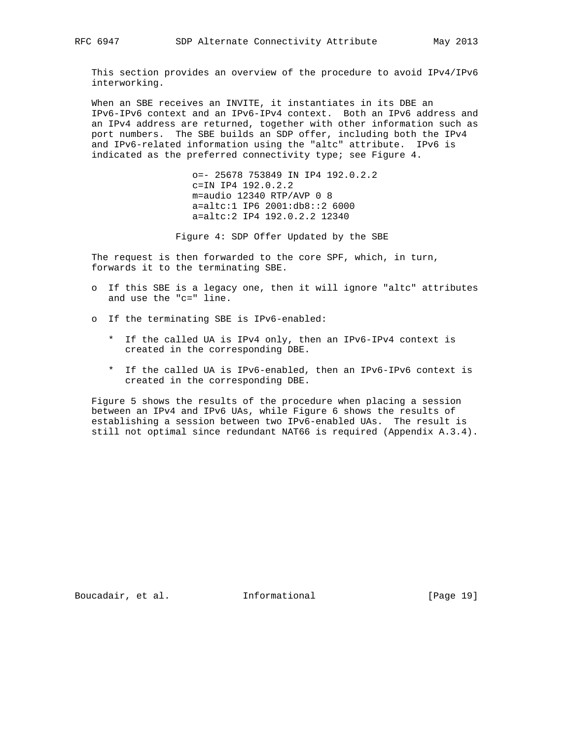This section provides an overview of the procedure to avoid IPv4/IPv6 interworking.

 When an SBE receives an INVITE, it instantiates in its DBE an IPv6-IPv6 context and an IPv6-IPv4 context. Both an IPv6 address and an IPv4 address are returned, together with other information such as port numbers. The SBE builds an SDP offer, including both the IPv4 and IPv6-related information using the "altc" attribute. IPv6 is indicated as the preferred connectivity type; see Figure 4.

> o=- 25678 753849 IN IP4 192.0.2.2 c=IN IP4 192.0.2.2 m=audio 12340 RTP/AVP 0 8 a=altc:1 IP6 2001:db8::2 6000 a=altc:2 IP4 192.0.2.2 12340

Figure 4: SDP Offer Updated by the SBE

 The request is then forwarded to the core SPF, which, in turn, forwards it to the terminating SBE.

- o If this SBE is a legacy one, then it will ignore "altc" attributes and use the "c=" line.
- o If the terminating SBE is IPv6-enabled:
	- \* If the called UA is IPv4 only, then an IPv6-IPv4 context is created in the corresponding DBE.
	- \* If the called UA is IPv6-enabled, then an IPv6-IPv6 context is created in the corresponding DBE.

 Figure 5 shows the results of the procedure when placing a session between an IPv4 and IPv6 UAs, while Figure 6 shows the results of establishing a session between two IPv6-enabled UAs. The result is still not optimal since redundant NAT66 is required (Appendix A.3.4).

Boucadair, et al. Informational [Page 19]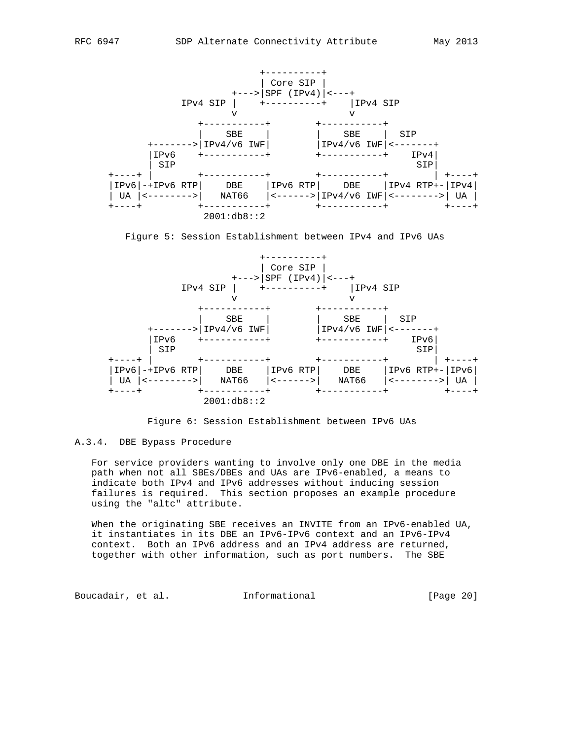







#### A.3.4. DBE Bypass Procedure

 For service providers wanting to involve only one DBE in the media path when not all SBEs/DBEs and UAs are IPv6-enabled, a means to indicate both IPv4 and IPv6 addresses without inducing session failures is required. This section proposes an example procedure using the "altc" attribute.

 When the originating SBE receives an INVITE from an IPv6-enabled UA, it instantiates in its DBE an IPv6-IPv6 context and an IPv6-IPv4 context. Both an IPv6 address and an IPv4 address are returned, together with other information, such as port numbers. The SBE

Boucadair, et al. 1nformational 1999 [Page 20]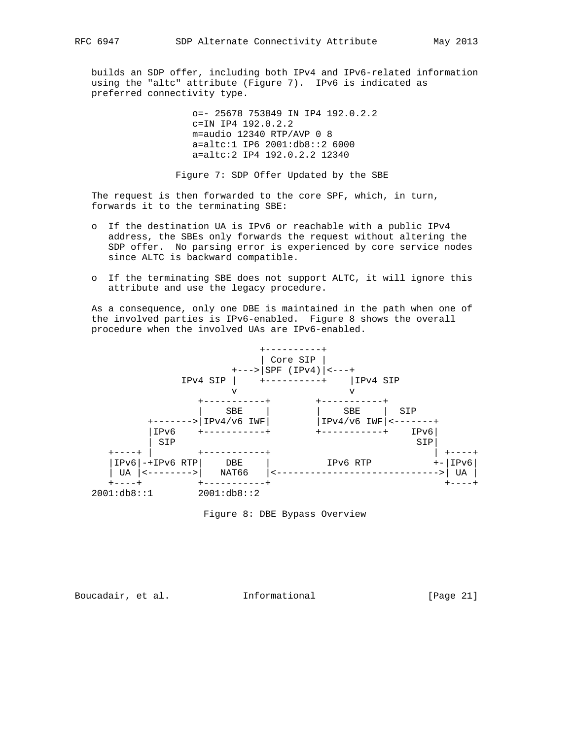builds an SDP offer, including both IPv4 and IPv6-related information using the "altc" attribute (Figure 7). IPv6 is indicated as preferred connectivity type.

> o=- 25678 753849 IN IP4 192.0.2.2 c=IN IP4 192.0.2.2 m=audio 12340 RTP/AVP 0 8 a=altc:1 IP6 2001:db8::2 6000 a=altc:2 IP4 192.0.2.2 12340

Figure 7: SDP Offer Updated by the SBE

 The request is then forwarded to the core SPF, which, in turn, forwards it to the terminating SBE:

- o If the destination UA is IPv6 or reachable with a public IPv4 address, the SBEs only forwards the request without altering the SDP offer. No parsing error is experienced by core service nodes since ALTC is backward compatible.
- o If the terminating SBE does not support ALTC, it will ignore this attribute and use the legacy procedure.

 As a consequence, only one DBE is maintained in the path when one of the involved parties is IPv6-enabled. Figure 8 shows the overall procedure when the involved UAs are IPv6-enabled.



Figure 8: DBE Bypass Overview

Boucadair, et al. Informational [Page 21]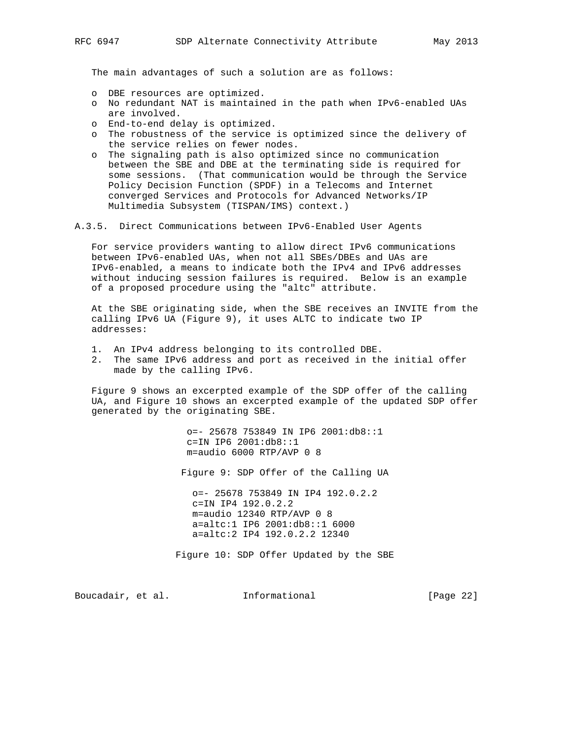The main advantages of such a solution are as follows:

- o DBE resources are optimized.
- o No redundant NAT is maintained in the path when IPv6-enabled UAs are involved.
- o End-to-end delay is optimized.
- o The robustness of the service is optimized since the delivery of the service relies on fewer nodes.
- o The signaling path is also optimized since no communication between the SBE and DBE at the terminating side is required for some sessions. (That communication would be through the Service Policy Decision Function (SPDF) in a Telecoms and Internet converged Services and Protocols for Advanced Networks/IP Multimedia Subsystem (TISPAN/IMS) context.)

A.3.5. Direct Communications between IPv6-Enabled User Agents

 For service providers wanting to allow direct IPv6 communications between IPv6-enabled UAs, when not all SBEs/DBEs and UAs are IPv6-enabled, a means to indicate both the IPv4 and IPv6 addresses without inducing session failures is required. Below is an example of a proposed procedure using the "altc" attribute.

 At the SBE originating side, when the SBE receives an INVITE from the calling IPv6 UA (Figure 9), it uses ALTC to indicate two IP addresses:

- 1. An IPv4 address belonging to its controlled DBE.
- 2. The same IPv6 address and port as received in the initial offer made by the calling IPv6.

 Figure 9 shows an excerpted example of the SDP offer of the calling UA, and Figure 10 shows an excerpted example of the updated SDP offer generated by the originating SBE.

> o=- 25678 753849 IN IP6 2001:db8::1 c=IN IP6 2001:db8::1 m=audio 6000 RTP/AVP 0 8 Figure 9: SDP Offer of the Calling UA o=- 25678 753849 IN IP4 192.0.2.2 c=IN IP4 192.0.2.2 m=audio 12340 RTP/AVP 0 8 a=altc:1 IP6 2001:db8::1 6000 a=altc:2 IP4 192.0.2.2 12340

Figure 10: SDP Offer Updated by the SBE

Boucadair, et al. Informational [Page 22]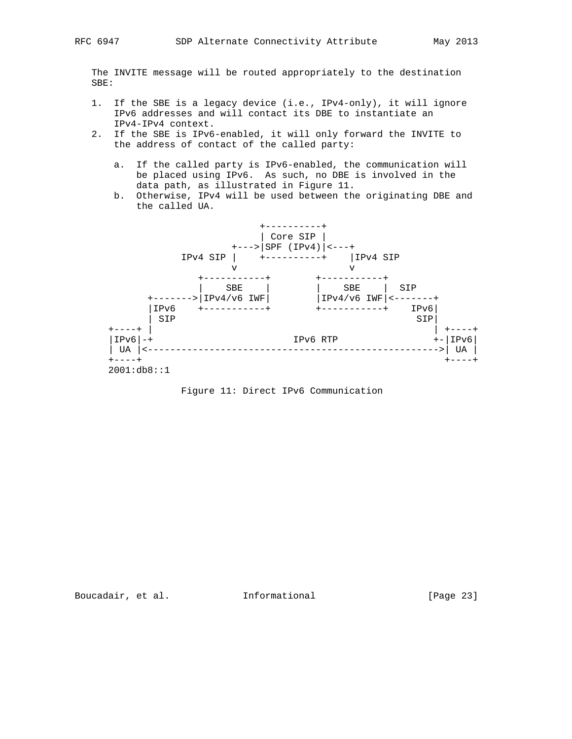The INVITE message will be routed appropriately to the destination SBE:

- 1. If the SBE is a legacy device (i.e., IPv4-only), it will ignore IPv6 addresses and will contact its DBE to instantiate an IPv4-IPv4 context.
- 2. If the SBE is IPv6-enabled, it will only forward the INVITE to the address of contact of the called party:
	- a. If the called party is IPv6-enabled, the communication will be placed using IPv6. As such, no DBE is involved in the data path, as illustrated in Figure 11.
	- b. Otherwise, IPv4 will be used between the originating DBE and the called UA.



Figure 11: Direct IPv6 Communication